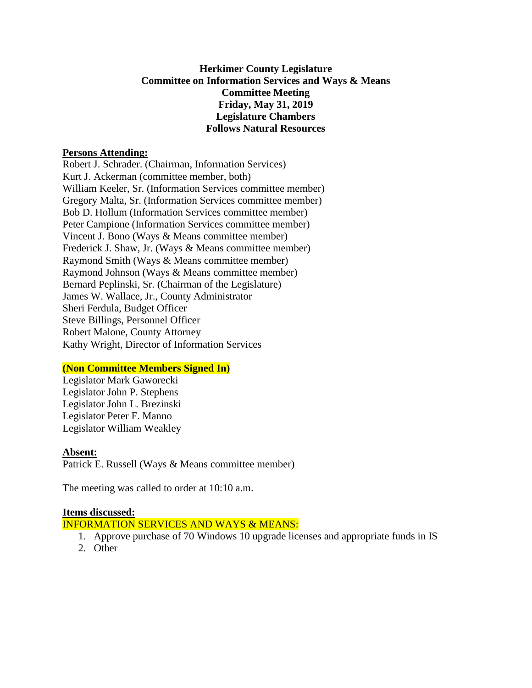# **Herkimer County Legislature Committee on Information Services and Ways & Means Committee Meeting Friday, May 31, 2019 Legislature Chambers Follows Natural Resources**

#### **Persons Attending:**

Robert J. Schrader. (Chairman, Information Services) Kurt J. Ackerman (committee member, both) William Keeler, Sr. (Information Services committee member) Gregory Malta, Sr. (Information Services committee member) Bob D. Hollum (Information Services committee member) Peter Campione (Information Services committee member) Vincent J. Bono (Ways & Means committee member) Frederick J. Shaw, Jr. (Ways & Means committee member) Raymond Smith (Ways & Means committee member) Raymond Johnson (Ways & Means committee member) Bernard Peplinski, Sr. (Chairman of the Legislature) James W. Wallace, Jr., County Administrator Sheri Ferdula, Budget Officer Steve Billings, Personnel Officer Robert Malone, County Attorney Kathy Wright, Director of Information Services

# **(Non Committee Members Signed In)**

Legislator Mark Gaworecki Legislator John P. Stephens Legislator John L. Brezinski Legislator Peter F. Manno Legislator William Weakley

#### **Absent:**

Patrick E. Russell (Ways & Means committee member)

The meeting was called to order at 10:10 a.m.

# **Items discussed:**

INFORMATION SERVICES AND WAYS & MEANS:

- 1. Approve purchase of 70 Windows 10 upgrade licenses and appropriate funds in IS
- 2. Other